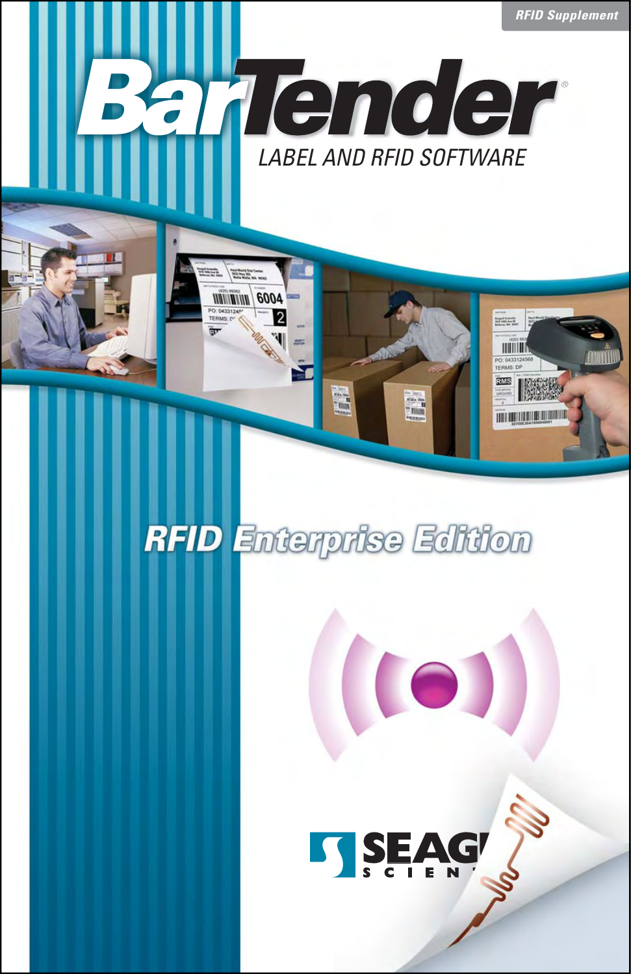

# **RFID Enterprise Edition**

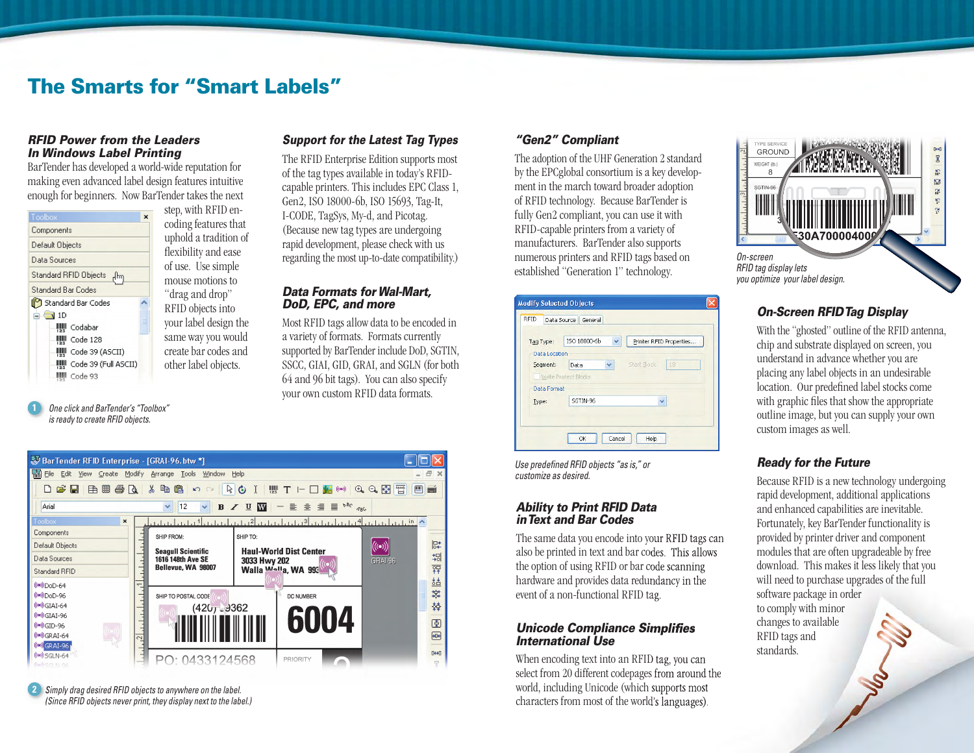### **The Smarts for "Smart Labels"**

#### *RFID Power from the Leaders In Windows Label Printing*

BarTender has developed a world-wide reputation for making even advanced label design features intuitive enough for beginners. Now BarTender takes the next

| Toolbox                      | × |
|------------------------------|---|
| Components                   |   |
| Default Objects              |   |
| Data Sources                 |   |
| <b>Standard RFID Objects</b> |   |
| <b>Standard Bar Codes</b>    |   |
| Standard Bar Codes           |   |
|                              |   |
| Codabar                      |   |
| Code 128                     |   |
| Code 39 (ASCII)              |   |
| Code 39 (Full ASCII)         |   |
| Code 93                      |   |

*One click and BarTender's "Toolbox" is ready to create RFID objects.*

step, with RFID encoding features that uphold a tradition of flexibility and ease of use. Use simple mouse motions to "drag and drop" RFID objects into your label design the same way you would create bar codes and other label objects.

#### *Support for the Latest Tag Types*

The RFID Enterprise Edition supports most of the tag types available in today's RFIDcapable printers. This includes EPC Class 1, Gen2, ISO 18000-6b, ISO 15693, Tag-It, I-CODE, TagSys, My-d, and Picotag. (Because new tag types are undergoing rapid development, please check with us regarding the most up-to-date compatibility.)

#### *Data Formats for Wal-Mart, DoD, EPC, and more*

Most RFID tags allow data to be encoded in a variety of formats. Formats currently supported by BarTender include DoD, SGTIN, SSCC, GIAI, GID, GRAI, and SGLN (for both 64 and 96 bit tags). You can also specify your own custom RFID data formats.



*Simply drag desired RFID objects to anywhere on the label.* **2**  *(Since RFID objects never print, they display next to the label.)*

#### *"Gen2" Compliant*

The adoption of the UHF Generation 2 standard by the EPCglobal consortium is a key development in the march toward broader adoption of RFID technology. Because BarTender is fully Gen2 compliant, you can use it with RFID-capable printers from a variety of manufacturers. BarTender also supports numerous printers and RFID tags based on established "Generation 1" technology.

| RFID                 | Data Source General                     |
|----------------------|-----------------------------------------|
| Tag Type:            | ISO 18000-6b<br>Printer RFID Properties |
| <b>Data Location</b> |                                         |
| Segment:             | Start Block:<br>v<br>18<br>Data         |
|                      | Write Protect Blocks                    |
| <b>Data Format</b>   |                                         |
| Type:                | SGTIN-96                                |
|                      |                                         |
|                      |                                         |

*Use predefi ned RFID objects "as is," or customize as desired.*

#### *Ability to Print RFID Data in Text and Bar Codes*

The same data you encode into your RFID tags can also be printed in text and bar codes. This allows the option of using RFID or bar code scanning hardware and provides data redundancy in the event of a non-functional RFID tag.

#### *Unicode Compliance Simplifies International Use*

When encoding text into an RFID tag, you can select from 20 different codepages from around the world, including Unicode (which supports most characters from most of the world's languages).



## *On-Screen RFID Tag Display*

With the "ghosted" outline of the RFID antenna, chip and substrate displayed on screen, you understand in advance whether you are placing any label objects in an undesirable location. Our predefined label stocks come with graphic files that show the appropriate outline image, but you can supply your own custom images as well.

#### *Ready for the Future*

Because RFID is a new technology undergoing rapid development, additional applications and enhanced capabilities are inevitable. Fortunately, key BarTender functionality is provided by printer driver and component modules that are often upgradeable by free download. This makes it less likely that you will need to purchase upgrades of the full software package in order to comply with minor changes to available RFID tags and standards.